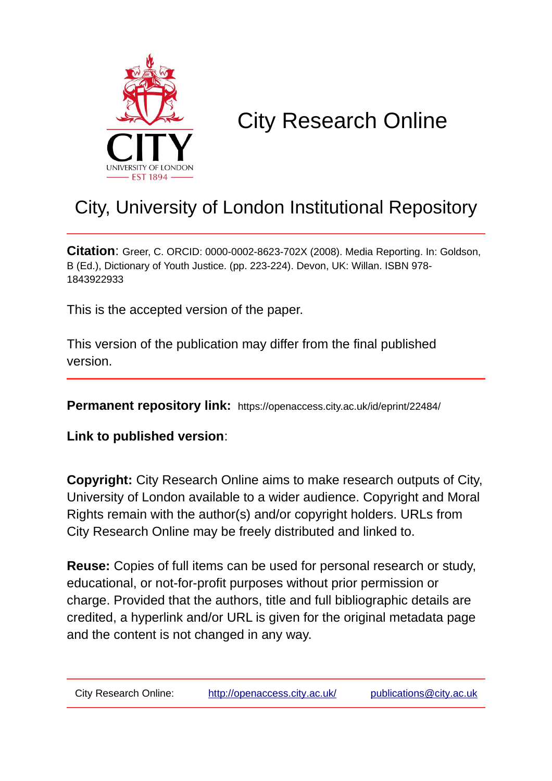

# City Research Online

## City, University of London Institutional Repository

**Citation**: Greer, C. ORCID: 0000-0002-8623-702X (2008). Media Reporting. In: Goldson, B (Ed.), Dictionary of Youth Justice. (pp. 223-224). Devon, UK: Willan. ISBN 978- 1843922933

This is the accepted version of the paper.

This version of the publication may differ from the final published version.

**Permanent repository link:** https://openaccess.city.ac.uk/id/eprint/22484/

**Link to published version**:

**Copyright:** City Research Online aims to make research outputs of City, University of London available to a wider audience. Copyright and Moral Rights remain with the author(s) and/or copyright holders. URLs from City Research Online may be freely distributed and linked to.

**Reuse:** Copies of full items can be used for personal research or study, educational, or not-for-profit purposes without prior permission or charge. Provided that the authors, title and full bibliographic details are credited, a hyperlink and/or URL is given for the original metadata page and the content is not changed in any way.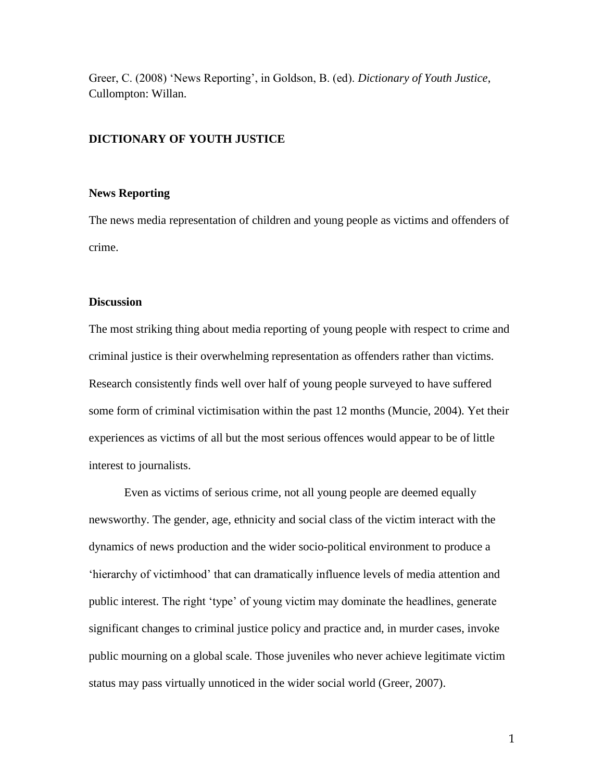Greer, C. (2008) 'News Reporting', in Goldson, B. (ed). *Dictionary of Youth Justice*, Cullompton: Willan.

#### **DICTIONARY OF YOUTH JUSTICE**

#### **News Reporting**

The news media representation of children and young people as victims and offenders of crime.

#### **Discussion**

The most striking thing about media reporting of young people with respect to crime and criminal justice is their overwhelming representation as offenders rather than victims. Research consistently finds well over half of young people surveyed to have suffered some form of criminal victimisation within the past 12 months (Muncie, 2004). Yet their experiences as victims of all but the most serious offences would appear to be of little interest to journalists.

Even as victims of serious crime, not all young people are deemed equally newsworthy. The gender, age, ethnicity and social class of the victim interact with the dynamics of news production and the wider socio-political environment to produce a 'hierarchy of victimhood' that can dramatically influence levels of media attention and public interest. The right 'type' of young victim may dominate the headlines, generate significant changes to criminal justice policy and practice and, in murder cases, invoke public mourning on a global scale. Those juveniles who never achieve legitimate victim status may pass virtually unnoticed in the wider social world (Greer, 2007).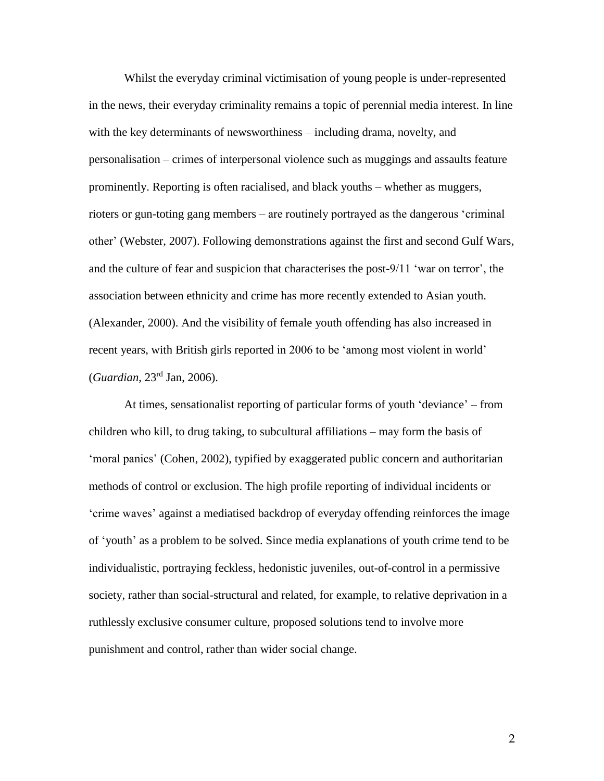Whilst the everyday criminal victimisation of young people is under-represented in the news, their everyday criminality remains a topic of perennial media interest. In line with the key determinants of newsworthiness – including drama, novelty, and personalisation – crimes of interpersonal violence such as muggings and assaults feature prominently. Reporting is often racialised, and black youths – whether as muggers, rioters or gun-toting gang members – are routinely portrayed as the dangerous 'criminal other' (Webster, 2007). Following demonstrations against the first and second Gulf Wars, and the culture of fear and suspicion that characterises the post-9/11 'war on terror', the association between ethnicity and crime has more recently extended to Asian youth. (Alexander, 2000). And the visibility of female youth offending has also increased in recent years, with British girls reported in 2006 to be 'among most violent in world' (*Guardian*, 23rd Jan, 2006).

At times, sensationalist reporting of particular forms of youth 'deviance' – from children who kill, to drug taking, to subcultural affiliations – may form the basis of 'moral panics' (Cohen, 2002), typified by exaggerated public concern and authoritarian methods of control or exclusion. The high profile reporting of individual incidents or 'crime waves' against a mediatised backdrop of everyday offending reinforces the image of 'youth' as a problem to be solved. Since media explanations of youth crime tend to be individualistic, portraying feckless, hedonistic juveniles, out-of-control in a permissive society, rather than social-structural and related, for example, to relative deprivation in a ruthlessly exclusive consumer culture, proposed solutions tend to involve more punishment and control, rather than wider social change.

2